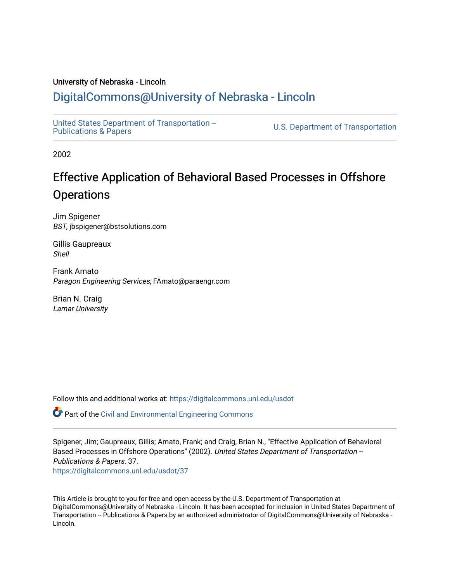#### University of Nebraska - Lincoln

## [DigitalCommons@University of Nebraska - Lincoln](https://digitalcommons.unl.edu/)

[United States Department of Transportation --](https://digitalcommons.unl.edu/usdot)<br>Publications & Papers

U.S. Department of Transportation

2002

# Effective Application of Behavioral Based Processes in Offshore **Operations**

Jim Spigener BST, jbspigener@bstsolutions.com

Gillis Gaupreaux Shell

Frank Amato Paragon Engineering Services, FAmato@paraengr.com

Brian N. Craig Lamar University

Follow this and additional works at: [https://digitalcommons.unl.edu/usdot](https://digitalcommons.unl.edu/usdot?utm_source=digitalcommons.unl.edu%2Fusdot%2F37&utm_medium=PDF&utm_campaign=PDFCoverPages) 

Part of the [Civil and Environmental Engineering Commons](http://network.bepress.com/hgg/discipline/251?utm_source=digitalcommons.unl.edu%2Fusdot%2F37&utm_medium=PDF&utm_campaign=PDFCoverPages)

Spigener, Jim; Gaupreaux, Gillis; Amato, Frank; and Craig, Brian N., "Effective Application of Behavioral Based Processes in Offshore Operations" (2002). United States Department of Transportation --Publications & Papers. 37.

[https://digitalcommons.unl.edu/usdot/37](https://digitalcommons.unl.edu/usdot/37?utm_source=digitalcommons.unl.edu%2Fusdot%2F37&utm_medium=PDF&utm_campaign=PDFCoverPages)

This Article is brought to you for free and open access by the U.S. Department of Transportation at DigitalCommons@University of Nebraska - Lincoln. It has been accepted for inclusion in United States Department of Transportation -- Publications & Papers by an authorized administrator of DigitalCommons@University of Nebraska -Lincoln.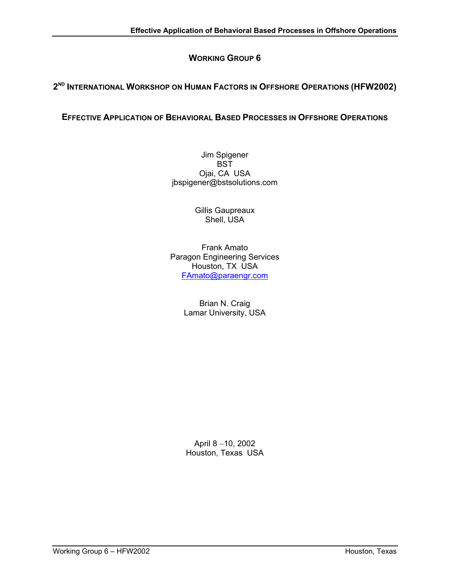## **WORKING GROUP 6**

## **2<sup>ND</sup> INTERNATIONAL WORKSHOP ON HUMAN FACTORS IN OFFSHORE OPERATIONS (HFW2002)**

## **EFFECTIVE APPLICATION OF BEHAVIORAL BASED PROCESSES IN OFFSHORE OPERATIONS**

Jim Spigener **BST** Ojai, CA USA jbspigener@bstsolutions.com

> Gillis Gaupreaux Shell, USA

Frank Amato Paragon Engineering Services Houston, TX USA FAmato@paraengr.com

> Brian N. Craig Lamar University, USA

April 8 −10, 2002 Houston, Texas USA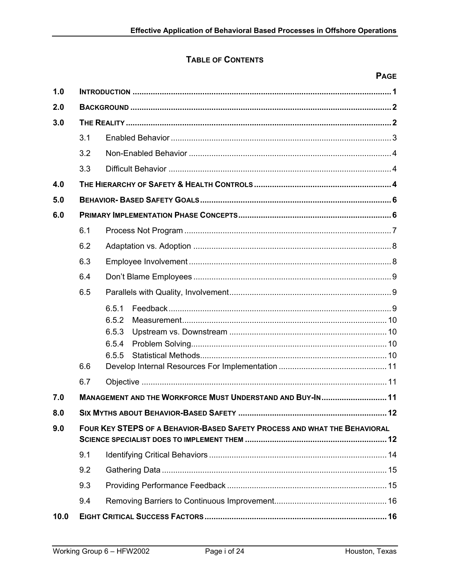## **TABLE OF CONTENTS**

|      |                                                                           |                                                                | <b>PAGE</b> |  |
|------|---------------------------------------------------------------------------|----------------------------------------------------------------|-------------|--|
| 1.0  |                                                                           |                                                                |             |  |
| 2.0  |                                                                           |                                                                |             |  |
| 3.0  |                                                                           |                                                                |             |  |
|      | 3.1                                                                       |                                                                |             |  |
|      | 3.2                                                                       |                                                                |             |  |
|      | 3.3                                                                       |                                                                |             |  |
| 4.0  |                                                                           |                                                                |             |  |
| 5.0  |                                                                           |                                                                |             |  |
| 6.0  |                                                                           |                                                                |             |  |
|      | 6.1                                                                       |                                                                |             |  |
|      | 6.2                                                                       |                                                                |             |  |
|      | 6.3                                                                       |                                                                |             |  |
|      | 6.4                                                                       |                                                                |             |  |
|      | 6.5                                                                       |                                                                |             |  |
|      |                                                                           | 6.5.1                                                          |             |  |
|      |                                                                           | 6.5.2                                                          |             |  |
|      |                                                                           | 6.5.3                                                          |             |  |
|      |                                                                           | 6.5.4                                                          |             |  |
|      |                                                                           | 6.5.5                                                          |             |  |
|      | 6.6                                                                       |                                                                |             |  |
|      | 6.7                                                                       |                                                                |             |  |
| 7.O  |                                                                           | <b>MANAGEMENT AND THE WORKFORCE MUST UNDERSTAND AND BUY-IN</b> | 11          |  |
| 8.0  |                                                                           |                                                                |             |  |
| 9.0  | FOUR KEY STEPS OF A BEHAVIOR-BASED SAFETY PROCESS AND WHAT THE BEHAVIORAL |                                                                |             |  |
|      | 9.1                                                                       |                                                                |             |  |
|      | 9.2                                                                       |                                                                |             |  |
|      | 9.3                                                                       |                                                                |             |  |
|      | 9.4                                                                       |                                                                |             |  |
| 10.0 |                                                                           |                                                                |             |  |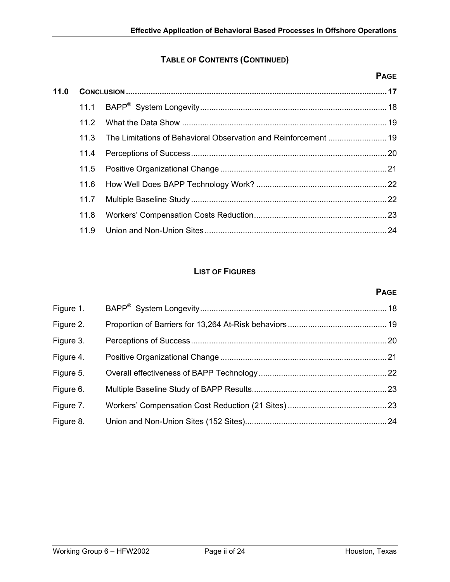## **TABLE OF CONTENTS (CONTINUED)**

## **PAGE**

| 11.0 |      |  |
|------|------|--|
|      | 11.1 |  |
|      | 11.2 |  |
|      | 11.3 |  |
|      | 11.4 |  |
|      | 11.5 |  |
|      | 11.6 |  |
|      | 11.7 |  |
|      | 11.8 |  |
|      | 11.9 |  |

## **LIST OF FIGURES**

## **PAGE**

| Figure 1. |  |
|-----------|--|
| Figure 2. |  |
| Figure 3. |  |
| Figure 4. |  |
| Figure 5. |  |
| Figure 6. |  |
| Figure 7. |  |
| Figure 8. |  |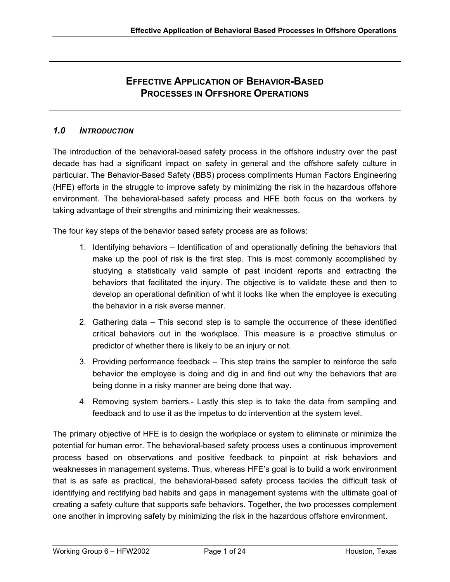## **EFFECTIVE APPLICATION OF BEHAVIOR-BASED PROCESSES IN OFFSHORE OPERATIONS**

### *1.0 INTRODUCTION*

The introduction of the behavioral-based safety process in the offshore industry over the past decade has had a significant impact on safety in general and the offshore safety culture in particular. The Behavior-Based Safety (BBS) process compliments Human Factors Engineering (HFE) efforts in the struggle to improve safety by minimizing the risk in the hazardous offshore environment. The behavioral-based safety process and HFE both focus on the workers by taking advantage of their strengths and minimizing their weaknesses.

The four key steps of the behavior based safety process are as follows:

- 1. Identifying behaviors Identification of and operationally defining the behaviors that make up the pool of risk is the first step. This is most commonly accomplished by studying a statistically valid sample of past incident reports and extracting the behaviors that facilitated the injury. The objective is to validate these and then to develop an operational definition of wht it looks like when the employee is executing the behavior in a risk averse manner.
- 2. Gathering data This second step is to sample the occurrence of these identified critical behaviors out in the workplace. This measure is a proactive stimulus or predictor of whether there is likely to be an injury or not.
- 3. Providing performance feedback This step trains the sampler to reinforce the safe behavior the employee is doing and dig in and find out why the behaviors that are being donne in a risky manner are being done that way.
- 4. Removing system barriers.- Lastly this step is to take the data from sampling and feedback and to use it as the impetus to do intervention at the system level.

The primary objective of HFE is to design the workplace or system to eliminate or minimize the potential for human error. The behavioral-based safety process uses a continuous improvement process based on observations and positive feedback to pinpoint at risk behaviors and weaknesses in management systems. Thus, whereas HFE's goal is to build a work environment that is as safe as practical, the behavioral-based safety process tackles the difficult task of identifying and rectifying bad habits and gaps in management systems with the ultimate goal of creating a safety culture that supports safe behaviors. Together, the two processes complement one another in improving safety by minimizing the risk in the hazardous offshore environment.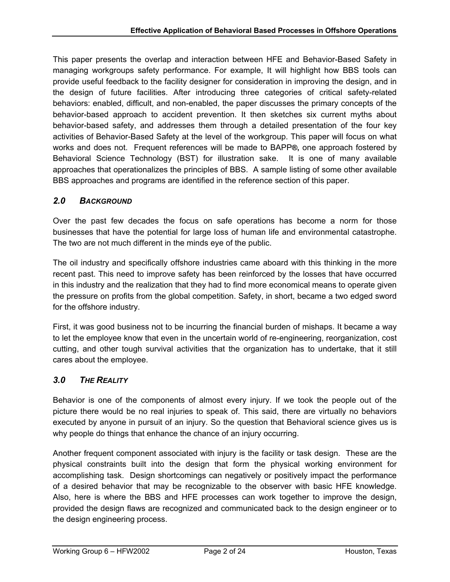This paper presents the overlap and interaction between HFE and Behavior-Based Safety in managing workgroups safety performance. For example, It will highlight how BBS tools can provide useful feedback to the facility designer for consideration in improving the design, and in the design of future facilities. After introducing three categories of critical safety-related behaviors: enabled, difficult, and non-enabled, the paper discusses the primary concepts of the behavior-based approach to accident prevention. It then sketches six current myths about behavior-based safety, and addresses them through a detailed presentation of the four key activities of Behavior-Based Safety at the level of the workgroup. This paper will focus on what works and does not. Frequent references will be made to BAPP**®,** one approach fostered by Behavioral Science Technology (BST) for illustration sake. It is one of many available approaches that operationalizes the principles of BBS. A sample listing of some other available BBS approaches and programs are identified in the reference section of this paper.

## *2.0 BACKGROUND*

Over the past few decades the focus on safe operations has become a norm for those businesses that have the potential for large loss of human life and environmental catastrophe. The two are not much different in the minds eye of the public.

The oil industry and specifically offshore industries came aboard with this thinking in the more recent past. This need to improve safety has been reinforced by the losses that have occurred in this industry and the realization that they had to find more economical means to operate given the pressure on profits from the global competition. Safety, in short, became a two edged sword for the offshore industry.

First, it was good business not to be incurring the financial burden of mishaps. It became a way to let the employee know that even in the uncertain world of re-engineering, reorganization, cost cutting, and other tough survival activities that the organization has to undertake, that it still cares about the employee.

## *3.0 THE REALITY*

Behavior is one of the components of almost every injury. If we took the people out of the picture there would be no real injuries to speak of. This said, there are virtually no behaviors executed by anyone in pursuit of an injury. So the question that Behavioral science gives us is why people do things that enhance the chance of an injury occurring.

Another frequent component associated with injury is the facility or task design. These are the physical constraints built into the design that form the physical working environment for accomplishing task. Design shortcomings can negatively or positively impact the performance of a desired behavior that may be recognizable to the observer with basic HFE knowledge. Also, here is where the BBS and HFE processes can work together to improve the design, provided the design flaws are recognized and communicated back to the design engineer or to the design engineering process.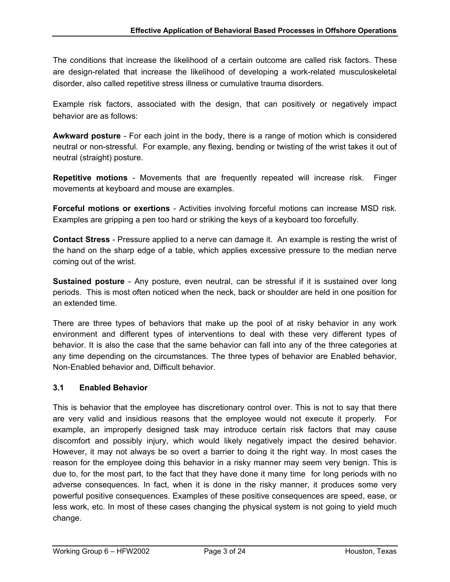The conditions that increase the likelihood of a certain outcome are called risk factors. These are design-related that increase the likelihood of developing a work-related musculoskeletal disorder, also called repetitive stress illness or cumulative trauma disorders.

Example risk factors, associated with the design, that can positively or negatively impact behavior are as follows:

**Awkward posture** - For each joint in the body, there is a range of motion which is considered neutral or non-stressful. For example, any flexing, bending or twisting of the wrist takes it out of neutral (straight) posture.

**Repetitive motions** - Movements that are frequently repeated will increase risk. Finger movements at keyboard and mouse are examples.

**Forceful motions or exertions** - Activities involving forceful motions can increase MSD risk. Examples are gripping a pen too hard or striking the keys of a keyboard too forcefully.

**Contact Stress** - Pressure applied to a nerve can damage it. An example is resting the wrist of the hand on the sharp edge of a table, which applies excessive pressure to the median nerve coming out of the wrist.

**Sustained posture** - Any posture, even neutral, can be stressful if it is sustained over long periods. This is most often noticed when the neck, back or shoulder are held in one position for an extended time.

There are three types of behaviors that make up the pool of at risky behavior in any work environment and different types of interventions to deal with these very different types of behavior. It is also the case that the same behavior can fall into any of the three categories at any time depending on the circumstances. The three types of behavior are Enabled behavior, Non-Enabled behavior and, Difficult behavior.

#### **3.1 Enabled Behavior**

This is behavior that the employee has discretionary control over. This is not to say that there are very valid and insidious reasons that the employee would not execute it properly. For example, an improperly designed task may introduce certain risk factors that may cause discomfort and possibly injury, which would likely negatively impact the desired behavior. However, it may not always be so overt a barrier to doing it the right way. In most cases the reason for the employee doing this behavior in a risky manner may seem very benign. This is due to, for the most part, to the fact that they have done it many time for long periods with no adverse consequences. In fact, when it is done in the risky manner, it produces some very powerful positive consequences. Examples of these positive consequences are speed, ease, or less work, etc. In most of these cases changing the physical system is not going to yield much change.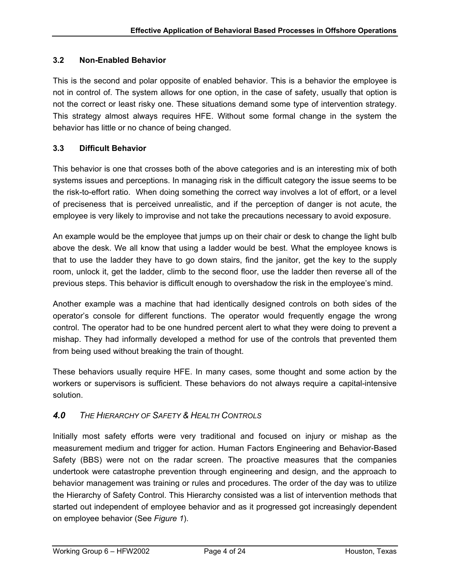#### **3.2 Non-Enabled Behavior**

This is the second and polar opposite of enabled behavior. This is a behavior the employee is not in control of. The system allows for one option, in the case of safety, usually that option is not the correct or least risky one. These situations demand some type of intervention strategy. This strategy almost always requires HFE. Without some formal change in the system the behavior has little or no chance of being changed.

#### **3.3 Difficult Behavior**

This behavior is one that crosses both of the above categories and is an interesting mix of both systems issues and perceptions. In managing risk in the difficult category the issue seems to be the risk-to-effort ratio. When doing something the correct way involves a lot of effort, or a level of preciseness that is perceived unrealistic, and if the perception of danger is not acute, the employee is very likely to improvise and not take the precautions necessary to avoid exposure.

An example would be the employee that jumps up on their chair or desk to change the light bulb above the desk. We all know that using a ladder would be best. What the employee knows is that to use the ladder they have to go down stairs, find the janitor, get the key to the supply room, unlock it, get the ladder, climb to the second floor, use the ladder then reverse all of the previous steps. This behavior is difficult enough to overshadow the risk in the employee's mind.

Another example was a machine that had identically designed controls on both sides of the operator's console for different functions. The operator would frequently engage the wrong control. The operator had to be one hundred percent alert to what they were doing to prevent a mishap. They had informally developed a method for use of the controls that prevented them from being used without breaking the train of thought.

These behaviors usually require HFE. In many cases, some thought and some action by the workers or supervisors is sufficient. These behaviors do not always require a capital-intensive solution.

#### *4.0 THE HIERARCHY OF SAFETY & HEALTH CONTROLS*

Initially most safety efforts were very traditional and focused on injury or mishap as the measurement medium and trigger for action. Human Factors Engineering and Behavior-Based Safety (BBS) were not on the radar screen. The proactive measures that the companies undertook were catastrophe prevention through engineering and design, and the approach to behavior management was training or rules and procedures. The order of the day was to utilize the Hierarchy of Safety Control. This Hierarchy consisted was a list of intervention methods that started out independent of employee behavior and as it progressed got increasingly dependent on employee behavior (See *Figure 1*).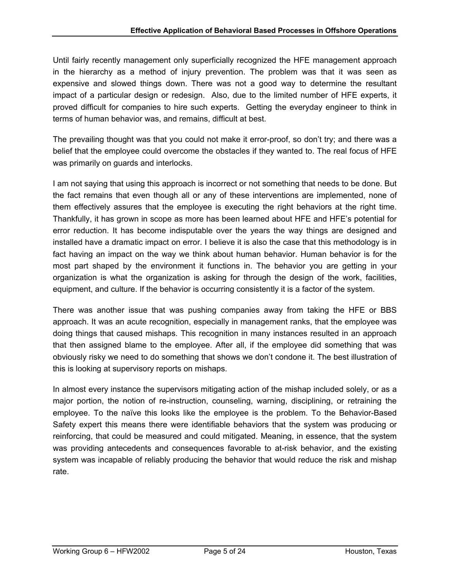Until fairly recently management only superficially recognized the HFE management approach in the hierarchy as a method of injury prevention. The problem was that it was seen as expensive and slowed things down. There was not a good way to determine the resultant impact of a particular design or redesign. Also, due to the limited number of HFE experts, it proved difficult for companies to hire such experts. Getting the everyday engineer to think in terms of human behavior was, and remains, difficult at best.

The prevailing thought was that you could not make it error-proof, so don't try; and there was a belief that the employee could overcome the obstacles if they wanted to. The real focus of HFE was primarily on guards and interlocks.

I am not saying that using this approach is incorrect or not something that needs to be done. But the fact remains that even though all or any of these interventions are implemented, none of them effectively assures that the employee is executing the right behaviors at the right time. Thankfully, it has grown in scope as more has been learned about HFE and HFE's potential for error reduction. It has become indisputable over the years the way things are designed and installed have a dramatic impact on error. I believe it is also the case that this methodology is in fact having an impact on the way we think about human behavior. Human behavior is for the most part shaped by the environment it functions in. The behavior you are getting in your organization is what the organization is asking for through the design of the work, facilities, equipment, and culture. If the behavior is occurring consistently it is a factor of the system.

There was another issue that was pushing companies away from taking the HFE or BBS approach. It was an acute recognition, especially in management ranks, that the employee was doing things that caused mishaps. This recognition in many instances resulted in an approach that then assigned blame to the employee. After all, if the employee did something that was obviously risky we need to do something that shows we don't condone it. The best illustration of this is looking at supervisory reports on mishaps.

In almost every instance the supervisors mitigating action of the mishap included solely, or as a major portion, the notion of re-instruction, counseling, warning, disciplining, or retraining the employee. To the naïve this looks like the employee is the problem. To the Behavior-Based Safety expert this means there were identifiable behaviors that the system was producing or reinforcing, that could be measured and could mitigated. Meaning, in essence, that the system was providing antecedents and consequences favorable to at-risk behavior, and the existing system was incapable of reliably producing the behavior that would reduce the risk and mishap rate.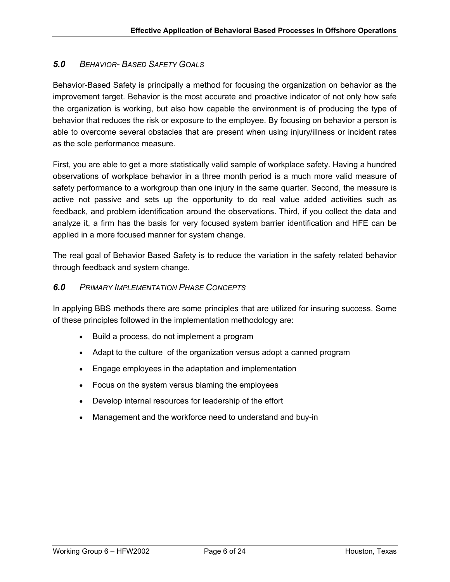### *5.0 BEHAVIOR- BASED SAFETY GOALS*

Behavior-Based Safety is principally a method for focusing the organization on behavior as the improvement target. Behavior is the most accurate and proactive indicator of not only how safe the organization is working, but also how capable the environment is of producing the type of behavior that reduces the risk or exposure to the employee. By focusing on behavior a person is able to overcome several obstacles that are present when using injury/illness or incident rates as the sole performance measure.

First, you are able to get a more statistically valid sample of workplace safety. Having a hundred observations of workplace behavior in a three month period is a much more valid measure of safety performance to a workgroup than one injury in the same quarter. Second, the measure is active not passive and sets up the opportunity to do real value added activities such as feedback, and problem identification around the observations. Third, if you collect the data and analyze it, a firm has the basis for very focused system barrier identification and HFE can be applied in a more focused manner for system change.

The real goal of Behavior Based Safety is to reduce the variation in the safety related behavior through feedback and system change.

#### *6.0 PRIMARY IMPLEMENTATION PHASE CONCEPTS*

In applying BBS methods there are some principles that are utilized for insuring success. Some of these principles followed in the implementation methodology are:

- Build a process, do not implement a program
- Adapt to the culture of the organization versus adopt a canned program
- Engage employees in the adaptation and implementation
- Focus on the system versus blaming the employees
- Develop internal resources for leadership of the effort
- Management and the workforce need to understand and buy-in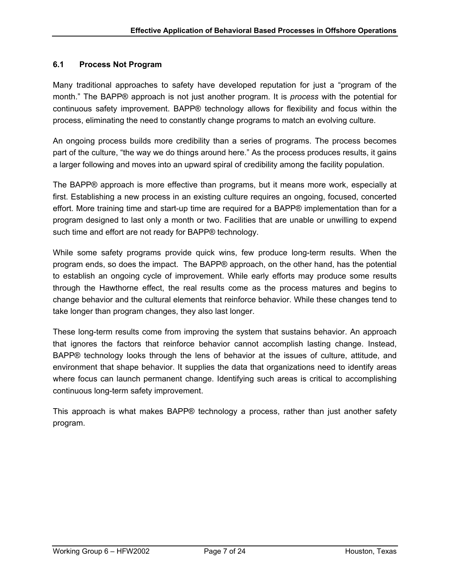#### **6.1 Process Not Program**

Many traditional approaches to safety have developed reputation for just a "program of the month." The BAPP® approach is not just another program. It is *process* with the potential for continuous safety improvement. BAPP® technology allows for flexibility and focus within the process, eliminating the need to constantly change programs to match an evolving culture.

An ongoing process builds more credibility than a series of programs. The process becomes part of the culture, "the way we do things around here." As the process produces results, it gains a larger following and moves into an upward spiral of credibility among the facility population.

The BAPP® approach is more effective than programs, but it means more work, especially at first. Establishing a new process in an existing culture requires an ongoing, focused, concerted effort. More training time and start-up time are required for a BAPP® implementation than for a program designed to last only a month or two. Facilities that are unable or unwilling to expend such time and effort are not ready for BAPP® technology.

While some safety programs provide quick wins, few produce long-term results. When the program ends, so does the impact. The BAPP® approach, on the other hand, has the potential to establish an ongoing cycle of improvement. While early efforts may produce some results through the Hawthorne effect, the real results come as the process matures and begins to change behavior and the cultural elements that reinforce behavior. While these changes tend to take longer than program changes, they also last longer.

These long-term results come from improving the system that sustains behavior. An approach that ignores the factors that reinforce behavior cannot accomplish lasting change. Instead, BAPP® technology looks through the lens of behavior at the issues of culture, attitude, and environment that shape behavior. It supplies the data that organizations need to identify areas where focus can launch permanent change. Identifying such areas is critical to accomplishing continuous long-term safety improvement.

This approach is what makes BAPP® technology a process, rather than just another safety program.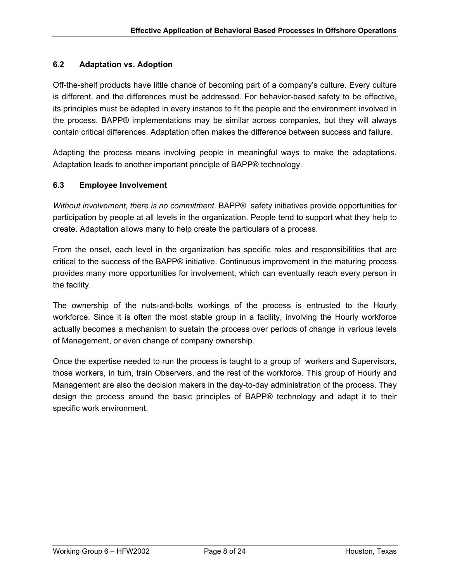#### **6.2 Adaptation vs. Adoption**

Off-the-shelf products have little chance of becoming part of a company's culture. Every culture is different, and the differences must be addressed. For behavior-based safety to be effective, its principles must be adapted in every instance to fit the people and the environment involved in the process. BAPP® implementations may be similar across companies, but they will always contain critical differences. Adaptation often makes the difference between success and failure.

Adapting the process means involving people in meaningful ways to make the adaptations. Adaptation leads to another important principle of BAPP® technology.

#### **6.3 Employee Involvement**

*Without involvement, there is no commitment.* BAPP® safety initiatives provide opportunities for participation by people at all levels in the organization. People tend to support what they help to create. Adaptation allows many to help create the particulars of a process.

From the onset, each level in the organization has specific roles and responsibilities that are critical to the success of the BAPP® initiative. Continuous improvement in the maturing process provides many more opportunities for involvement, which can eventually reach every person in the facility.

The ownership of the nuts-and-bolts workings of the process is entrusted to the Hourly workforce. Since it is often the most stable group in a facility, involving the Hourly workforce actually becomes a mechanism to sustain the process over periods of change in various levels of Management, or even change of company ownership.

Once the expertise needed to run the process is taught to a group of workers and Supervisors, those workers, in turn, train Observers, and the rest of the workforce. This group of Hourly and Management are also the decision makers in the day-to-day administration of the process. They design the process around the basic principles of BAPP® technology and adapt it to their specific work environment.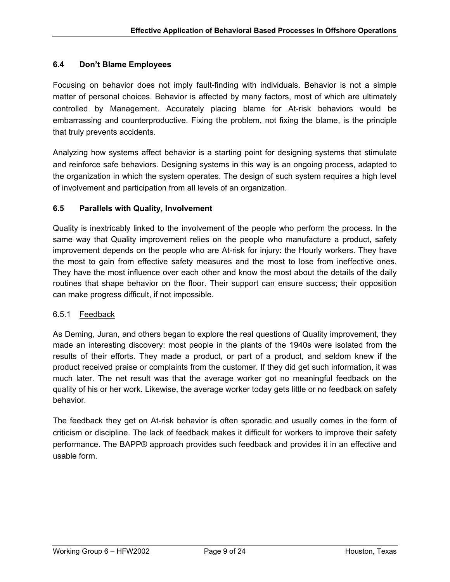#### **6.4 Don't Blame Employees**

Focusing on behavior does not imply fault-finding with individuals. Behavior is not a simple matter of personal choices. Behavior is affected by many factors, most of which are ultimately controlled by Management. Accurately placing blame for At-risk behaviors would be embarrassing and counterproductive. Fixing the problem, not fixing the blame, is the principle that truly prevents accidents.

Analyzing how systems affect behavior is a starting point for designing systems that stimulate and reinforce safe behaviors. Designing systems in this way is an ongoing process, adapted to the organization in which the system operates. The design of such system requires a high level of involvement and participation from all levels of an organization.

#### **6.5 Parallels with Quality, Involvement**

Quality is inextricably linked to the involvement of the people who perform the process. In the same way that Quality improvement relies on the people who manufacture a product, safety improvement depends on the people who are At-risk for injury: the Hourly workers. They have the most to gain from effective safety measures and the most to lose from ineffective ones. They have the most influence over each other and know the most about the details of the daily routines that shape behavior on the floor. Their support can ensure success; their opposition can make progress difficult, if not impossible.

#### 6.5.1 Feedback

As Deming, Juran, and others began to explore the real questions of Quality improvement, they made an interesting discovery: most people in the plants of the 1940s were isolated from the results of their efforts. They made a product, or part of a product, and seldom knew if the product received praise or complaints from the customer. If they did get such information, it was much later. The net result was that the average worker got no meaningful feedback on the quality of his or her work. Likewise, the average worker today gets little or no feedback on safety behavior.

The feedback they get on At-risk behavior is often sporadic and usually comes in the form of criticism or discipline. The lack of feedback makes it difficult for workers to improve their safety performance. The BAPP® approach provides such feedback and provides it in an effective and usable form.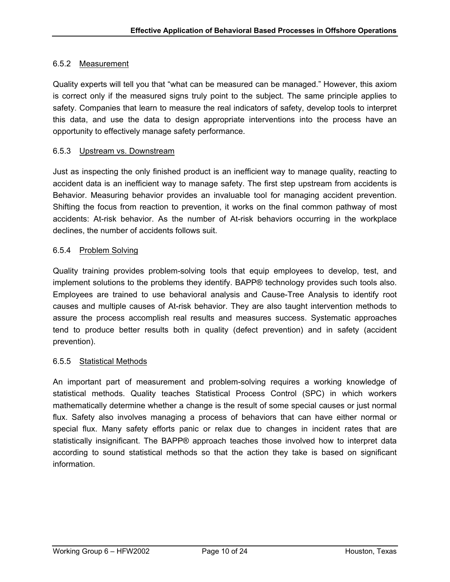#### 6.5.2 Measurement

Quality experts will tell you that "what can be measured can be managed." However, this axiom is correct only if the measured signs truly point to the subject. The same principle applies to safety. Companies that learn to measure the real indicators of safety, develop tools to interpret this data, and use the data to design appropriate interventions into the process have an opportunity to effectively manage safety performance.

#### 6.5.3 Upstream vs. Downstream

Just as inspecting the only finished product is an inefficient way to manage quality, reacting to accident data is an inefficient way to manage safety. The first step upstream from accidents is Behavior. Measuring behavior provides an invaluable tool for managing accident prevention. Shifting the focus from reaction to prevention, it works on the final common pathway of most accidents: At-risk behavior. As the number of At-risk behaviors occurring in the workplace declines, the number of accidents follows suit.

#### 6.5.4 Problem Solving

Quality training provides problem-solving tools that equip employees to develop, test, and implement solutions to the problems they identify. BAPP® technology provides such tools also. Employees are trained to use behavioral analysis and Cause-Tree Analysis to identify root causes and multiple causes of At-risk behavior. They are also taught intervention methods to assure the process accomplish real results and measures success. Systematic approaches tend to produce better results both in quality (defect prevention) and in safety (accident prevention).

#### 6.5.5 Statistical Methods

An important part of measurement and problem-solving requires a working knowledge of statistical methods. Quality teaches Statistical Process Control (SPC) in which workers mathematically determine whether a change is the result of some special causes or just normal flux. Safety also involves managing a process of behaviors that can have either normal or special flux. Many safety efforts panic or relax due to changes in incident rates that are statistically insignificant. The BAPP® approach teaches those involved how to interpret data according to sound statistical methods so that the action they take is based on significant information.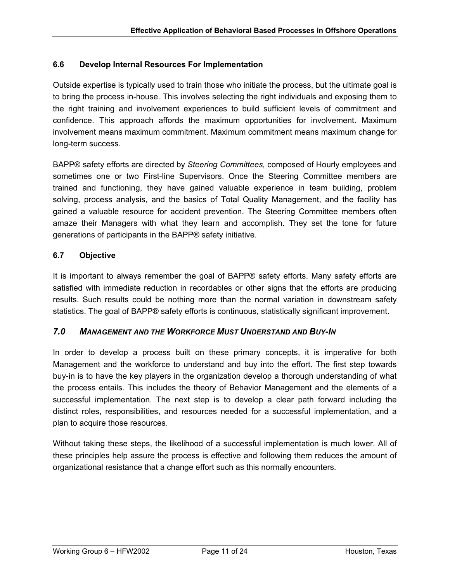#### **6.6 Develop Internal Resources For Implementation**

Outside expertise is typically used to train those who initiate the process, but the ultimate goal is to bring the process in-house. This involves selecting the right individuals and exposing them to the right training and involvement experiences to build sufficient levels of commitment and confidence. This approach affords the maximum opportunities for involvement. Maximum involvement means maximum commitment. Maximum commitment means maximum change for long-term success.

BAPP® safety efforts are directed by *Steering Committees,* composed of Hourly employees and sometimes one or two First-line Supervisors. Once the Steering Committee members are trained and functioning, they have gained valuable experience in team building, problem solving, process analysis, and the basics of Total Quality Management, and the facility has gained a valuable resource for accident prevention. The Steering Committee members often amaze their Managers with what they learn and accomplish. They set the tone for future generations of participants in the BAPP® safety initiative.

#### **6.7 Objective**

It is important to always remember the goal of BAPP® safety efforts. Many safety efforts are satisfied with immediate reduction in recordables or other signs that the efforts are producing results. Such results could be nothing more than the normal variation in downstream safety statistics. The goal of BAPP® safety efforts is continuous, statistically significant improvement.

#### *7.0 MANAGEMENT AND THE WORKFORCE MUST UNDERSTAND AND BUY-IN*

In order to develop a process built on these primary concepts, it is imperative for both Management and the workforce to understand and buy into the effort. The first step towards buy-in is to have the key players in the organization develop a thorough understanding of what the process entails. This includes the theory of Behavior Management and the elements of a successful implementation. The next step is to develop a clear path forward including the distinct roles, responsibilities, and resources needed for a successful implementation, and a plan to acquire those resources.

Without taking these steps, the likelihood of a successful implementation is much lower. All of these principles help assure the process is effective and following them reduces the amount of organizational resistance that a change effort such as this normally encounters.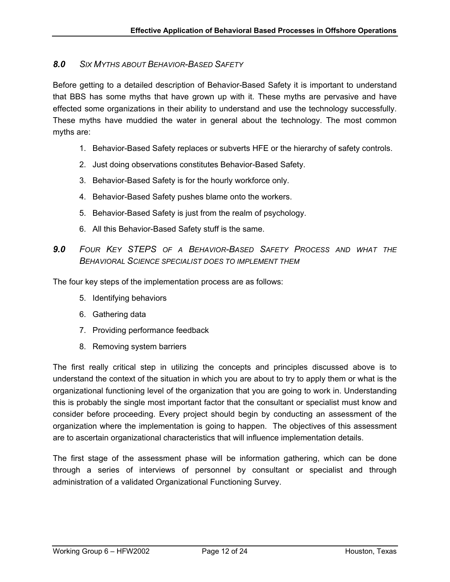### *8.0 SIX MYTHS ABOUT BEHAVIOR-BASED SAFETY*

Before getting to a detailed description of Behavior-Based Safety it is important to understand that BBS has some myths that have grown up with it. These myths are pervasive and have effected some organizations in their ability to understand and use the technology successfully. These myths have muddied the water in general about the technology. The most common myths are:

- 1. Behavior-Based Safety replaces or subverts HFE or the hierarchy of safety controls.
- 2. Just doing observations constitutes Behavior-Based Safety.
- 3. Behavior-Based Safety is for the hourly workforce only.
- 4. Behavior-Based Safety pushes blame onto the workers.
- 5. Behavior-Based Safety is just from the realm of psychology.
- 6. All this Behavior-Based Safety stuff is the same.
- *9.0 FOUR KEY STEPS OF A BEHAVIOR-BASED SAFETY PROCESS AND WHAT THE BEHAVIORAL SCIENCE SPECIALIST DOES TO IMPLEMENT THEM*

The four key steps of the implementation process are as follows:

- 5. Identifying behaviors
- 6. Gathering data
- 7. Providing performance feedback
- 8. Removing system barriers

The first really critical step in utilizing the concepts and principles discussed above is to understand the context of the situation in which you are about to try to apply them or what is the organizational functioning level of the organization that you are going to work in. Understanding this is probably the single most important factor that the consultant or specialist must know and consider before proceeding. Every project should begin by conducting an assessment of the organization where the implementation is going to happen. The objectives of this assessment are to ascertain organizational characteristics that will influence implementation details.

The first stage of the assessment phase will be information gathering, which can be done through a series of interviews of personnel by consultant or specialist and through administration of a validated Organizational Functioning Survey.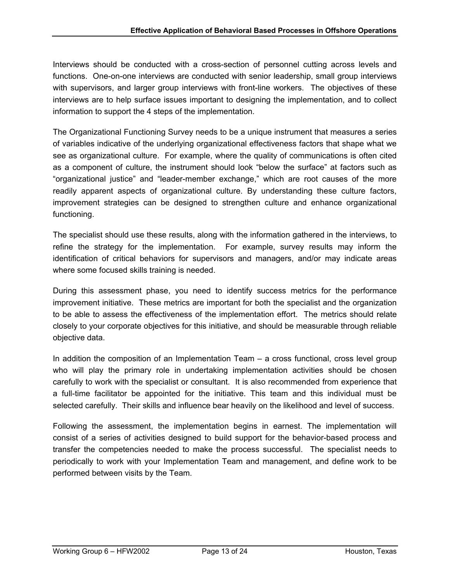Interviews should be conducted with a cross-section of personnel cutting across levels and functions. One-on-one interviews are conducted with senior leadership, small group interviews with supervisors, and larger group interviews with front-line workers. The objectives of these interviews are to help surface issues important to designing the implementation, and to collect information to support the 4 steps of the implementation.

The Organizational Functioning Survey needs to be a unique instrument that measures a series of variables indicative of the underlying organizational effectiveness factors that shape what we see as organizational culture. For example, where the quality of communications is often cited as a component of culture, the instrument should look "below the surface" at factors such as "organizational justice" and "leader-member exchange," which are root causes of the more readily apparent aspects of organizational culture. By understanding these culture factors, improvement strategies can be designed to strengthen culture and enhance organizational functioning.

The specialist should use these results, along with the information gathered in the interviews, to refine the strategy for the implementation. For example, survey results may inform the identification of critical behaviors for supervisors and managers, and/or may indicate areas where some focused skills training is needed.

During this assessment phase, you need to identify success metrics for the performance improvement initiative. These metrics are important for both the specialist and the organization to be able to assess the effectiveness of the implementation effort. The metrics should relate closely to your corporate objectives for this initiative, and should be measurable through reliable objective data.

In addition the composition of an Implementation Team  $-$  a cross functional, cross level group who will play the primary role in undertaking implementation activities should be chosen carefully to work with the specialist or consultant. It is also recommended from experience that a full-time facilitator be appointed for the initiative. This team and this individual must be selected carefully. Their skills and influence bear heavily on the likelihood and level of success.

Following the assessment, the implementation begins in earnest. The implementation will consist of a series of activities designed to build support for the behavior-based process and transfer the competencies needed to make the process successful. The specialist needs to periodically to work with your Implementation Team and management, and define work to be performed between visits by the Team.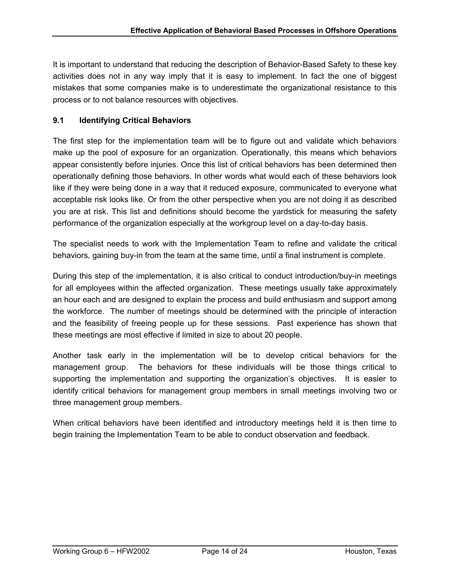It is important to understand that reducing the description of Behavior-Based Safety to these key activities does not in any way imply that it is easy to implement. In fact the one of biggest mistakes that some companies make is to underestimate the organizational resistance to this process or to not balance resources with objectives.

## **9.1 Identifying Critical Behaviors**

The first step for the implementation team will be to figure out and validate which behaviors make up the pool of exposure for an organization. Operationally, this means which behaviors appear consistently before injuries. Once this list of critical behaviors has been determined then operationally defining those behaviors. In other words what would each of these behaviors look like if they were being done in a way that it reduced exposure, communicated to everyone what acceptable risk looks like. Or from the other perspective when you are not doing it as described you are at risk. This list and definitions should become the yardstick for measuring the safety performance of the organization especially at the workgroup level on a day-to-day basis.

The specialist needs to work with the Implementation Team to refine and validate the critical behaviors, gaining buy-in from the team at the same time, until a final instrument is complete.

During this step of the implementation, it is also critical to conduct introduction/buy-in meetings for all employees within the affected organization. These meetings usually take approximately an hour each and are designed to explain the process and build enthusiasm and support among the workforce. The number of meetings should be determined with the principle of interaction and the feasibility of freeing people up for these sessions. Past experience has shown that these meetings are most effective if limited in size to about 20 people.

Another task early in the implementation will be to develop critical behaviors for the management group. The behaviors for these individuals will be those things critical to supporting the implementation and supporting the organization's objectives. It is easier to identify critical behaviors for management group members in small meetings involving two or three management group members.

When critical behaviors have been identified and introductory meetings held it is then time to begin training the Implementation Team to be able to conduct observation and feedback.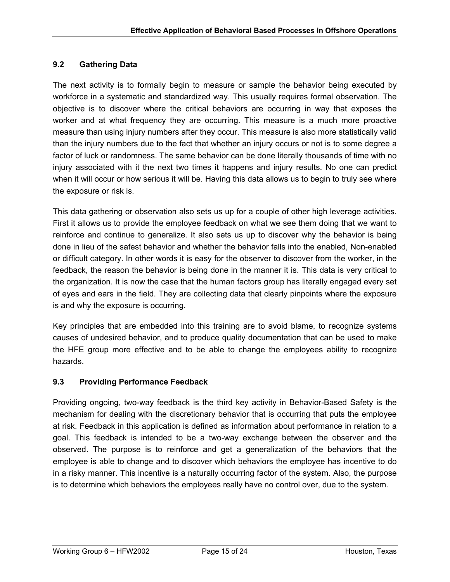#### **9.2 Gathering Data**

The next activity is to formally begin to measure or sample the behavior being executed by workforce in a systematic and standardized way. This usually requires formal observation. The objective is to discover where the critical behaviors are occurring in way that exposes the worker and at what frequency they are occurring. This measure is a much more proactive measure than using injury numbers after they occur. This measure is also more statistically valid than the injury numbers due to the fact that whether an injury occurs or not is to some degree a factor of luck or randomness. The same behavior can be done literally thousands of time with no injury associated with it the next two times it happens and injury results. No one can predict when it will occur or how serious it will be. Having this data allows us to begin to truly see where the exposure or risk is.

This data gathering or observation also sets us up for a couple of other high leverage activities. First it allows us to provide the employee feedback on what we see them doing that we want to reinforce and continue to generalize. It also sets us up to discover why the behavior is being done in lieu of the safest behavior and whether the behavior falls into the enabled, Non-enabled or difficult category. In other words it is easy for the observer to discover from the worker, in the feedback, the reason the behavior is being done in the manner it is. This data is very critical to the organization. It is now the case that the human factors group has literally engaged every set of eyes and ears in the field. They are collecting data that clearly pinpoints where the exposure is and why the exposure is occurring.

Key principles that are embedded into this training are to avoid blame, to recognize systems causes of undesired behavior, and to produce quality documentation that can be used to make the HFE group more effective and to be able to change the employees ability to recognize hazards.

#### **9.3 Providing Performance Feedback**

Providing ongoing, two-way feedback is the third key activity in Behavior-Based Safety is the mechanism for dealing with the discretionary behavior that is occurring that puts the employee at risk. Feedback in this application is defined as information about performance in relation to a goal. This feedback is intended to be a two-way exchange between the observer and the observed. The purpose is to reinforce and get a generalization of the behaviors that the employee is able to change and to discover which behaviors the employee has incentive to do in a risky manner. This incentive is a naturally occurring factor of the system. Also, the purpose is to determine which behaviors the employees really have no control over, due to the system.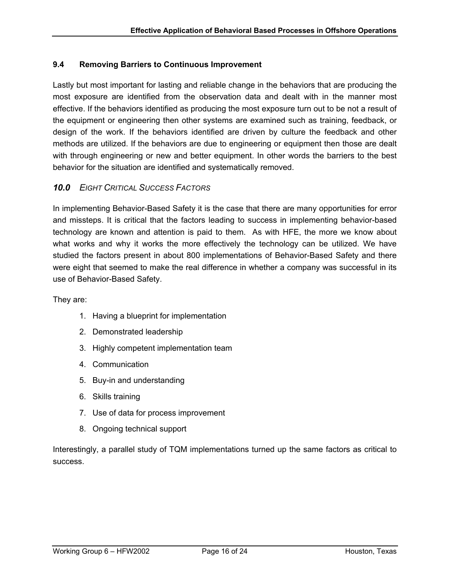#### **9.4 Removing Barriers to Continuous Improvement**

Lastly but most important for lasting and reliable change in the behaviors that are producing the most exposure are identified from the observation data and dealt with in the manner most effective. If the behaviors identified as producing the most exposure turn out to be not a result of the equipment or engineering then other systems are examined such as training, feedback, or design of the work. If the behaviors identified are driven by culture the feedback and other methods are utilized. If the behaviors are due to engineering or equipment then those are dealt with through engineering or new and better equipment. In other words the barriers to the best behavior for the situation are identified and systematically removed.

## *10.0 EIGHT CRITICAL SUCCESS FACTORS*

In implementing Behavior-Based Safety it is the case that there are many opportunities for error and missteps. It is critical that the factors leading to success in implementing behavior-based technology are known and attention is paid to them. As with HFE, the more we know about what works and why it works the more effectively the technology can be utilized. We have studied the factors present in about 800 implementations of Behavior-Based Safety and there were eight that seemed to make the real difference in whether a company was successful in its use of Behavior-Based Safety.

They are:

- 1. Having a blueprint for implementation
- 2. Demonstrated leadership
- 3. Highly competent implementation team
- 4. Communication
- 5. Buy-in and understanding
- 6. Skills training
- 7. Use of data for process improvement
- 8. Ongoing technical support

Interestingly, a parallel study of TQM implementations turned up the same factors as critical to success.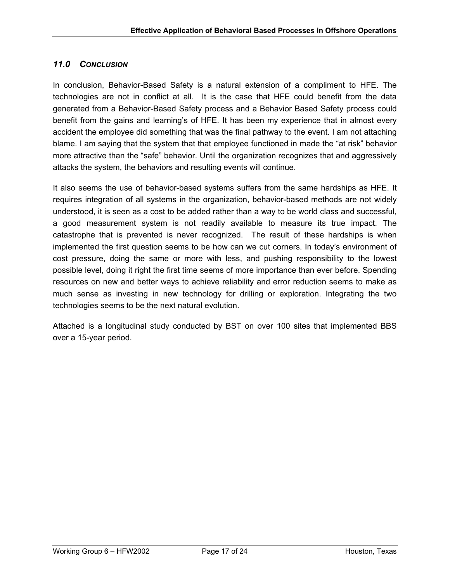#### *11.0 CONCLUSION*

In conclusion, Behavior-Based Safety is a natural extension of a compliment to HFE. The technologies are not in conflict at all. It is the case that HFE could benefit from the data generated from a Behavior-Based Safety process and a Behavior Based Safety process could benefit from the gains and learning's of HFE. It has been my experience that in almost every accident the employee did something that was the final pathway to the event. I am not attaching blame. I am saying that the system that that employee functioned in made the "at risk" behavior more attractive than the "safe" behavior. Until the organization recognizes that and aggressively attacks the system, the behaviors and resulting events will continue.

It also seems the use of behavior-based systems suffers from the same hardships as HFE. It requires integration of all systems in the organization, behavior-based methods are not widely understood, it is seen as a cost to be added rather than a way to be world class and successful, a good measurement system is not readily available to measure its true impact. The catastrophe that is prevented is never recognized. The result of these hardships is when implemented the first question seems to be how can we cut corners. In today's environment of cost pressure, doing the same or more with less, and pushing responsibility to the lowest possible level, doing it right the first time seems of more importance than ever before. Spending resources on new and better ways to achieve reliability and error reduction seems to make as much sense as investing in new technology for drilling or exploration. Integrating the two technologies seems to be the next natural evolution.

Attached is a longitudinal study conducted by BST on over 100 sites that implemented BBS over a 15-year period.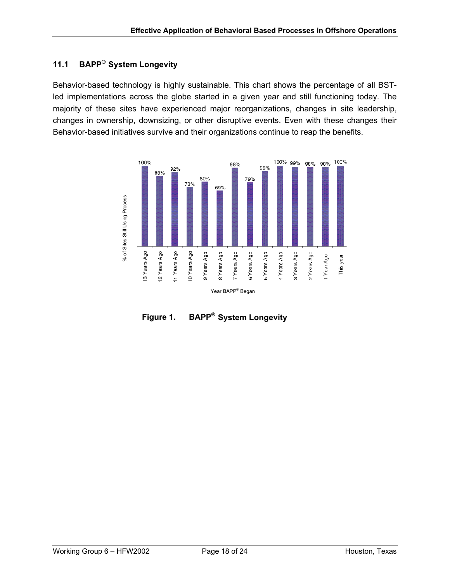## **11.1 BAPP® System Longevity**

Behavior-based technology is highly sustainable. This chart shows the percentage of all BSTled implementations across the globe started in a given year and still functioning today. The majority of these sites have experienced major reorganizations, changes in site leadership, changes in ownership, downsizing, or other disruptive events. Even with these changes their Behavior-based initiatives survive and their organizations continue to reap the benefits.



**Figure 1. BAPP® System Longevity**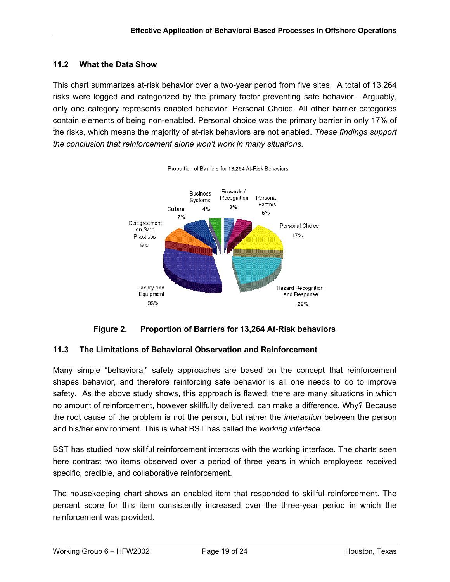#### **11.2 What the Data Show**

This chart summarizes at-risk behavior over a two-year period from five sites. A total of 13,264 risks were logged and categorized by the primary factor preventing safe behavior. Arguably, only one category represents enabled behavior: Personal Choice. All other barrier categories contain elements of being non-enabled. Personal choice was the primary barrier in only 17% of the risks, which means the majority of at-risk behaviors are not enabled. *These findings support the conclusion that reinforcement alone won't work in many situations.* 



Proportion of Barriers for 13,264 At-Risk Behaviors

#### **Figure 2. Proportion of Barriers for 13,264 At-Risk behaviors**

#### **11.3 The Limitations of Behavioral Observation and Reinforcement**

Many simple "behavioral" safety approaches are based on the concept that reinforcement shapes behavior, and therefore reinforcing safe behavior is all one needs to do to improve safety. As the above study shows, this approach is flawed; there are many situations in which no amount of reinforcement, however skillfully delivered, can make a difference. Why? Because the root cause of the problem is not the person, but rather the *interaction* between the person and his/her environment. This is what BST has called the *working interface*.

BST has studied how skillful reinforcement interacts with the working interface. The charts seen here contrast two items observed over a period of three years in which employees received specific, credible, and collaborative reinforcement.

The housekeeping chart shows an enabled item that responded to skillful reinforcement. The percent score for this item consistently increased over the three-year period in which the reinforcement was provided.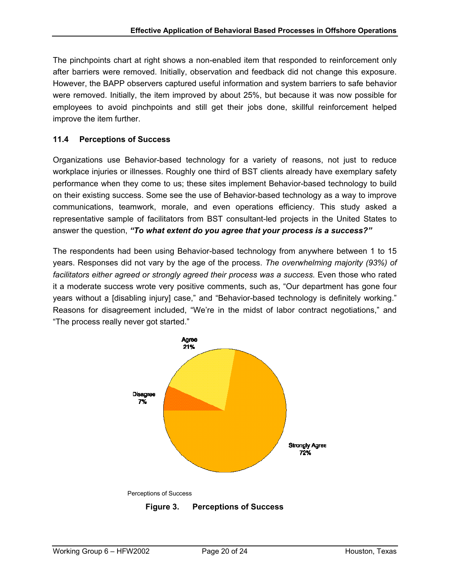The pinchpoints chart at right shows a non-enabled item that responded to reinforcement only after barriers were removed. Initially, observation and feedback did not change this exposure. However, the BAPP observers captured useful information and system barriers to safe behavior were removed. Initially, the item improved by about 25%, but because it was now possible for employees to avoid pinchpoints and still get their jobs done, skillful reinforcement helped improve the item further.

#### **11.4 Perceptions of Success**

Organizations use Behavior-based technology for a variety of reasons, not just to reduce workplace injuries or illnesses. Roughly one third of BST clients already have exemplary safety performance when they come to us; these sites implement Behavior-based technology to build on their existing success. Some see the use of Behavior-based technology as a way to improve communications, teamwork, morale, and even operations efficiency. This study asked a representative sample of facilitators from BST consultant-led projects in the United States to answer the question, *"To what extent do you agree that your process is a success?"* 

The respondents had been using Behavior-based technology from anywhere between 1 to 15 years. Responses did not vary by the age of the process. *The overwhelming majority (93%) of facilitators either agreed or strongly agreed their process was a success.* Even those who rated it a moderate success wrote very positive comments, such as, "Our department has gone four years without a [disabling injury] case," and "Behavior-based technology is definitely working." Reasons for disagreement included, "We're in the midst of labor contract negotiations," and "The process really never got started."



**Figure 3. Perceptions of Success**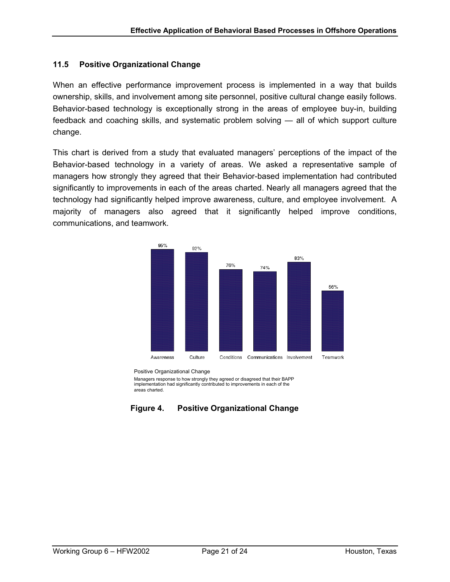#### **11.5 Positive Organizational Change**

When an effective performance improvement process is implemented in a way that builds ownership, skills, and involvement among site personnel, positive cultural change easily follows. Behavior-based technology is exceptionally strong in the areas of employee buy-in, building feedback and coaching skills, and systematic problem solving — all of which support culture change.

This chart is derived from a study that evaluated managers' perceptions of the impact of the Behavior-based technology in a variety of areas. We asked a representative sample of managers how strongly they agreed that their Behavior-based implementation had contributed significantly to improvements in each of the areas charted. Nearly all managers agreed that the technology had significantly helped improve awareness, culture, and employee involvement. A majority of managers also agreed that it significantly helped improve conditions, communications, and teamwork.



Positive Organizational Change

Managers response to how strongly they agreed or disagreed that their BAPP implementation had significantly contributed to improvements in each of the areas charted.

## **Figure 4. Positive Organizational Change**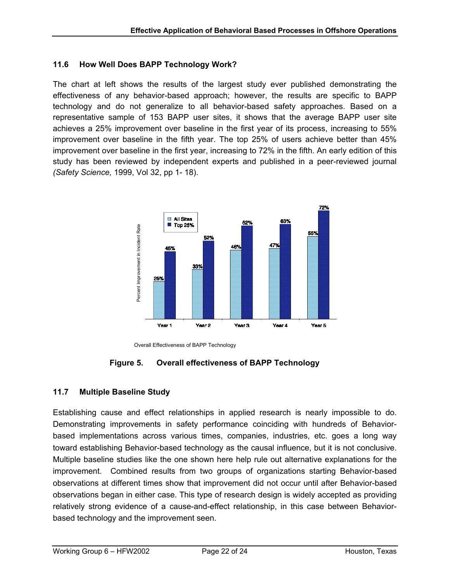#### **11.6 How Well Does BAPP Technology Work?**

The chart at left shows the results of the largest study ever published demonstrating the effectiveness of any behavior-based approach; however, the results are specific to BAPP technology and do not generalize to all behavior-based safety approaches. Based on a representative sample of 153 BAPP user sites, it shows that the average BAPP user site achieves a 25% improvement over baseline in the first year of its process, increasing to 55% improvement over baseline in the fifth year. The top 25% of users achieve better than 45% improvement over baseline in the first year, increasing to 72% in the fifth. An early edition of this study has been reviewed by independent experts and published in a peer-reviewed journal *(Safety Science,* 1999, Vol 32, pp 1- 18).



#### **Figure 5. Overall effectiveness of BAPP Technology**

#### **11.7 Multiple Baseline Study**

Establishing cause and effect relationships in applied research is nearly impossible to do. Demonstrating improvements in safety performance coinciding with hundreds of Behaviorbased implementations across various times, companies, industries, etc. goes a long way toward establishing Behavior-based technology as the causal influence, but it is not conclusive. Multiple baseline studies like the one shown here help rule out alternative explanations for the improvement. Combined results from two groups of organizations starting Behavior-based observations at different times show that improvement did not occur until after Behavior-based observations began in either case. This type of research design is widely accepted as providing relatively strong evidence of a cause-and-effect relationship, in this case between Behaviorbased technology and the improvement seen.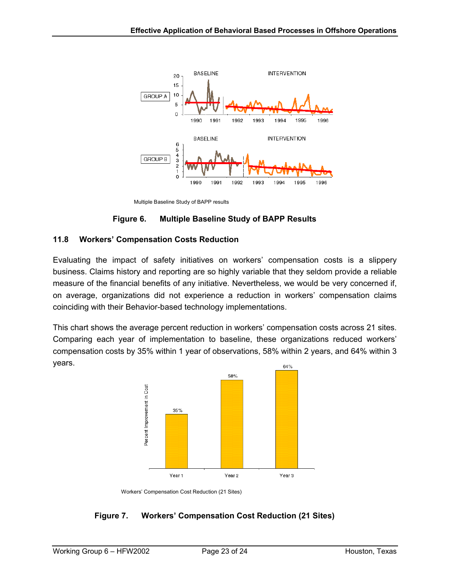

Multiple Baseline Study of BAPP results

#### **Figure 6. Multiple Baseline Study of BAPP Results**

#### **11.8 Workers' Compensation Costs Reduction**

Evaluating the impact of safety initiatives on workers' compensation costs is a slippery business. Claims history and reporting are so highly variable that they seldom provide a reliable measure of the financial benefits of any initiative. Nevertheless, we would be very concerned if, on average, organizations did not experience a reduction in workers' compensation claims coinciding with their Behavior-based technology implementations.

This chart shows the average percent reduction in workers' compensation costs across 21 sites. Comparing each year of implementation to baseline, these organizations reduced workers' compensation costs by 35% within 1 year of observations, 58% within 2 years, and 64% within 3 years. 64%



Workers' Compensation Cost Reduction (21 Sites)

#### **Figure 7. Workers' Compensation Cost Reduction (21 Sites)**